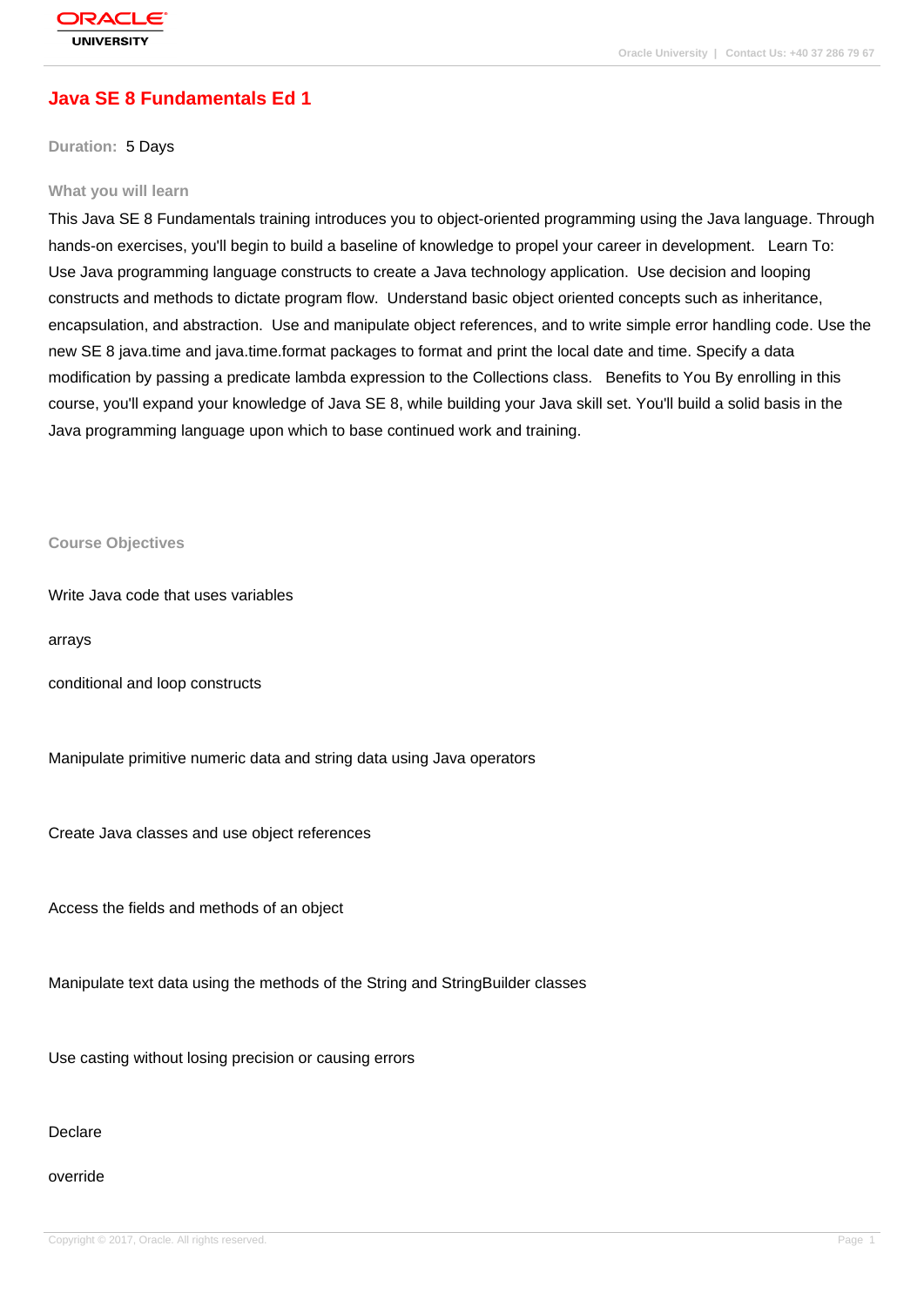## **[Java SE 8 Fund](http://education.oracle.com/pls/web_prod-plq-dad/db_pages.getpage?page_id=3)amentals Ed 1**

**Duration:** 5 Days

#### **What you will learn**

This Java SE 8 Fundamentals training introduces you to object-oriented programming using the Java language. Through hands-on exercises, you'll begin to build a baseline of knowledge to propel your career in development. Learn To: Use Java programming language constructs to create a Java technology application. Use decision and looping constructs and methods to dictate program flow. Understand basic object oriented concepts such as inheritance, encapsulation, and abstraction. Use and manipulate object references, and to write simple error handling code. Use the new SE 8 java.time and java.time.format packages to format and print the local date and time. Specify a data modification by passing a predicate lambda expression to the Collections class. Benefits to You By enrolling in this course, you'll expand your knowledge of Java SE 8, while building your Java skill set. You'll build a solid basis in the Java programming language upon which to base continued work and training.

**Course Objectives**

Write Java code that uses variables

arrays

conditional and loop constructs

Manipulate primitive numeric data and string data using Java operators

Create Java classes and use object references

Access the fields and methods of an object

Manipulate text data using the methods of the String and StringBuilder classes

Use casting without losing precision or causing errors

Declare

override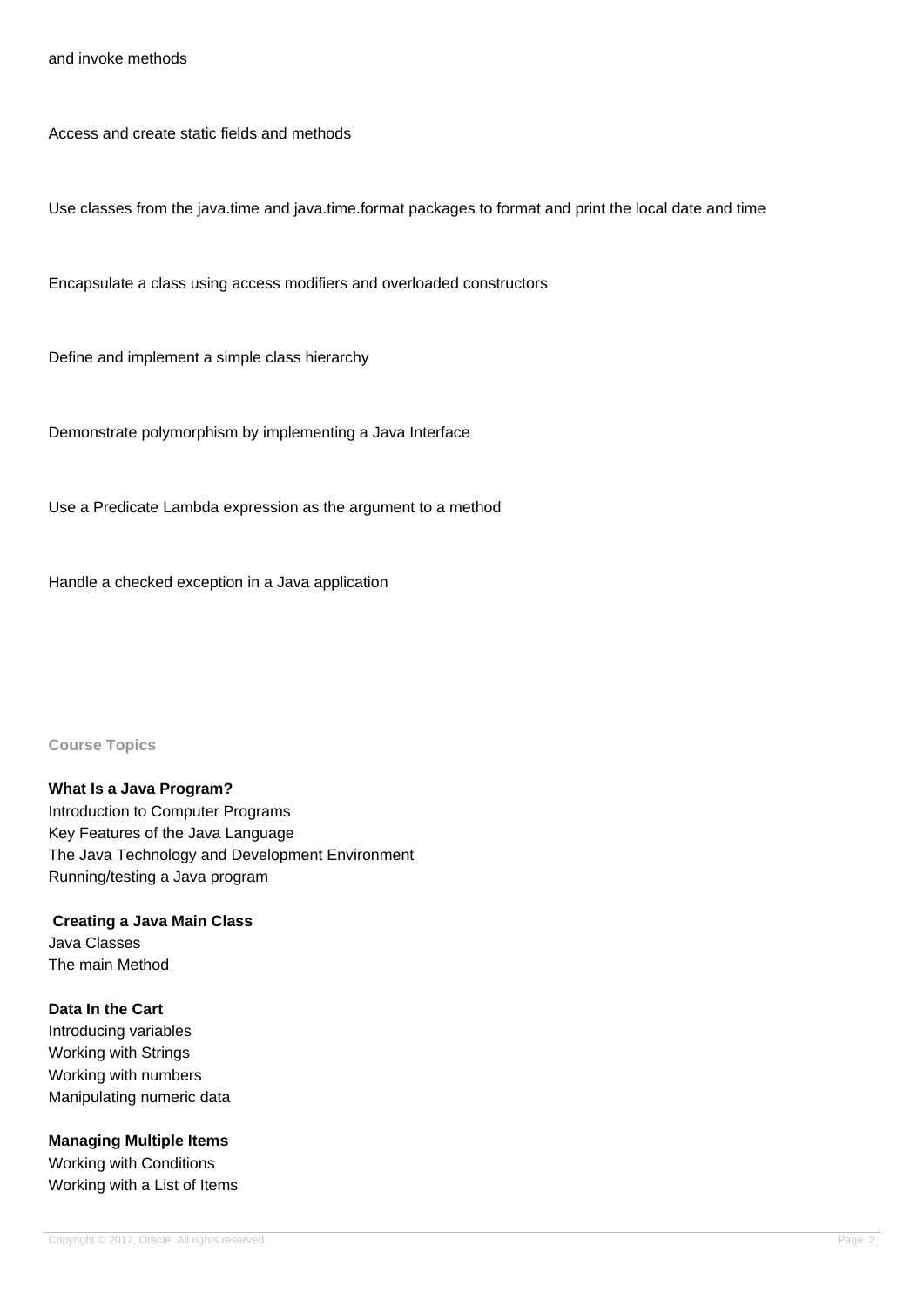and invoke methods

Access and create static fields and methods

Use classes from the java.time and java.time.format packages to format and print the local date and time

Encapsulate a class using access modifiers and overloaded constructors

Define and implement a simple class hierarchy

Demonstrate polymorphism by implementing a Java Interface

Use a Predicate Lambda expression as the argument to a method

Handle a checked exception in a Java application

**Course Topics**

**What Is a Java Program?** Introduction to Computer Programs Key Features of the Java Language The Java Technology and Development Environment Running/testing a Java program

 **Creating a Java Main Class** Java Classes The main Method

**Data In the Cart** Introducing variables Working with Strings Working with numbers Manipulating numeric data

**Managing Multiple Items** Working with Conditions Working with a List of Items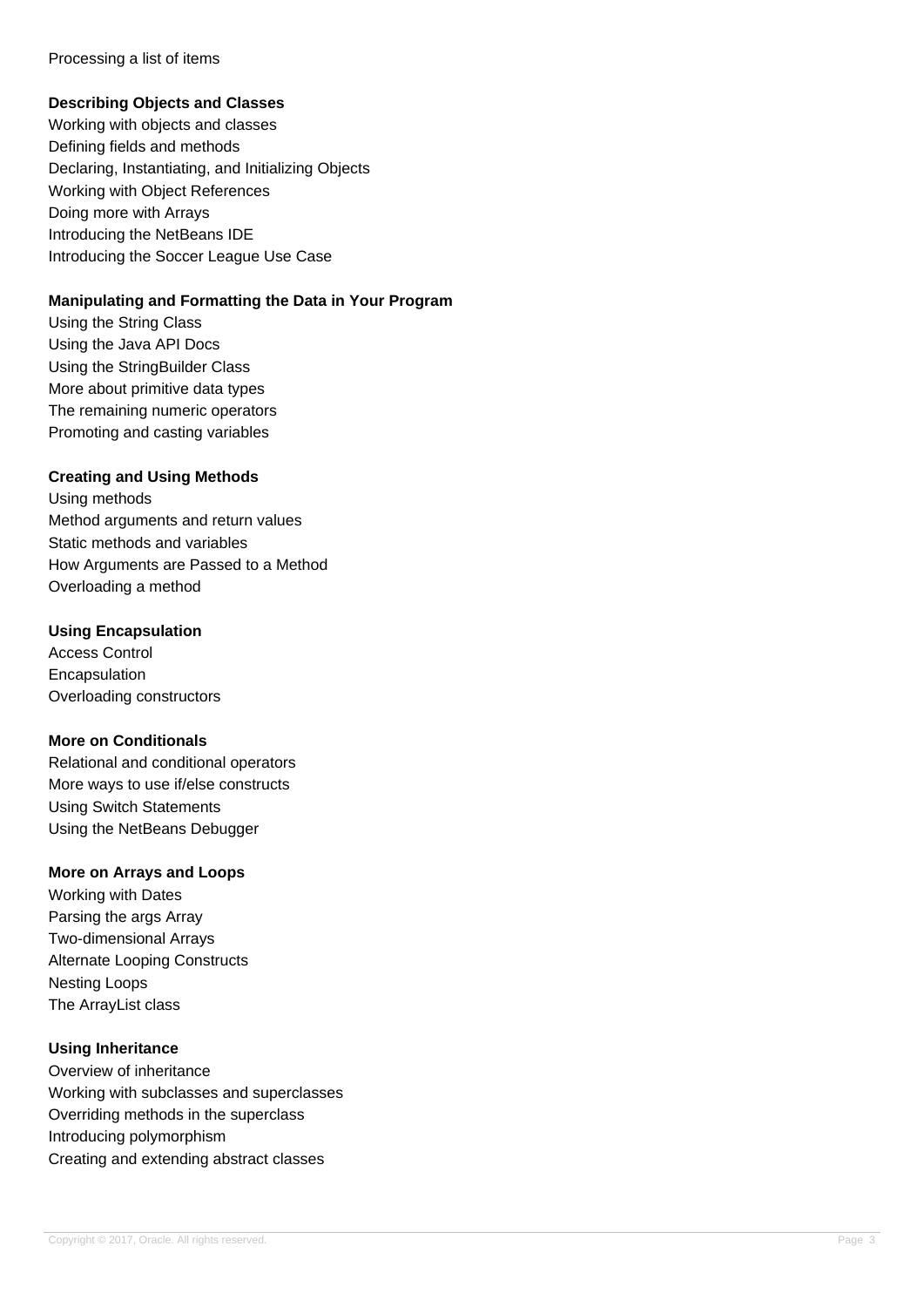#### Processing a list of items

#### **Describing Objects and Classes**

Working with objects and classes Defining fields and methods Declaring, Instantiating, and Initializing Objects Working with Object References Doing more with Arrays Introducing the NetBeans IDE Introducing the Soccer League Use Case

### **Manipulating and Formatting the Data in Your Program**

Using the String Class Using the Java API Docs Using the StringBuilder Class More about primitive data types The remaining numeric operators Promoting and casting variables

### **Creating and Using Methods**

Using methods Method arguments and return values Static methods and variables How Arguments are Passed to a Method Overloading a method

### **Using Encapsulation**

Access Control Encapsulation Overloading constructors

#### **More on Conditionals**

Relational and conditional operators More ways to use if/else constructs Using Switch Statements Using the NetBeans Debugger

### **More on Arrays and Loops**

Working with Dates Parsing the args Array Two-dimensional Arrays Alternate Looping Constructs Nesting Loops The ArrayList class

## **Using Inheritance**

Overview of inheritance Working with subclasses and superclasses Overriding methods in the superclass Introducing polymorphism Creating and extending abstract classes